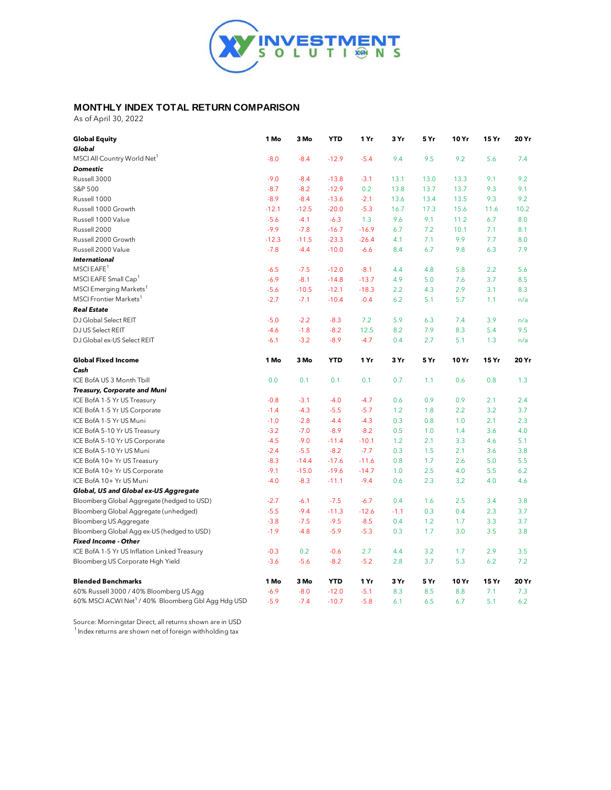

## **MONTHLY INDEX TOTAL RETURN COMPARISON**

As of April 30, 2022

| <b>Global Equity</b>                                           | 1 Mo    | 3 Mo    | <b>YTD</b> | 1 Yr    | 3 Yr   | 5Yr  | 10 Yr | 15 Yr | 20 Yr |
|----------------------------------------------------------------|---------|---------|------------|---------|--------|------|-------|-------|-------|
| Global                                                         |         |         |            |         |        |      |       |       |       |
| MSCI All Country World Net <sup>1</sup>                        | $-8.0$  | $-8.4$  | $-12.9$    | $-5.4$  | 9.4    | 9.5  | 9.2   | 5.6   | 7.4   |
| <b>Domestic</b>                                                |         |         |            |         |        |      |       |       |       |
| Russell 3000                                                   | $-9.0$  | $-8.4$  | $-13.8$    | $-3.1$  | 13.1   | 13.0 | 13.3  | 9.1   | 9.2   |
| S&P 500                                                        | $-8.7$  | $-8.2$  | $-12.9$    | 0.2     | 13.8   | 13.7 | 13.7  | 9.3   | 9.1   |
| Russell 1000                                                   | $-8.9$  | $-8.4$  | $-13.6$    | $-2.1$  | 13.6   | 13.4 | 13.5  | 9.3   | 9.2   |
| Russell 1000 Growth                                            | $-12.1$ | $-12.5$ | $-20.0$    | $-5.3$  | 16.7   | 17.3 | 15.6  | 11.6  | 10.2  |
| Russell 1000 Value                                             | $-5.6$  | $-4.1$  | $-6.3$     | 1.3     | 9.6    | 9.1  | 11.2  | 6.7   | 8.0   |
| Russell 2000                                                   | $-9.9$  | $-7.8$  | $-16.7$    | $-16.9$ | 6.7    | 7.2  | 10.1  | 7.1   | 8.1   |
| Russell 2000 Growth                                            | $-12.3$ | $-11.5$ | $-23.3$    | $-26.4$ | 4.1    | 7.1  | 9.9   | 7.7   | 8.0   |
| Russell 2000 Value                                             | $-7.8$  | $-4.4$  | $-10.0$    | $-6.6$  | 8.4    | 6.7  | 9.8   | 6.3   | 7.9   |
| <b>International</b>                                           |         |         |            |         |        |      |       |       |       |
| MSCI EAFE <sup>1</sup>                                         | $-6.5$  | $-7.5$  | $-12.0$    | $-8.1$  | 4.4    | 4.8  | 5.8   | 2.2   | 5.6   |
| MSCI EAFE Small Cap <sup>1</sup>                               | $-6.9$  | $-8.1$  | $-14.8$    | $-13.7$ | 4.9    | 5.0  | 7.6   | 3.7   | 8.5   |
| MSCI Emerging Markets <sup>1</sup>                             | $-5.6$  | $-10.5$ | $-12.1$    | $-18.3$ | 2.2    | 4.3  | 2.9   | 3.1   | 8.3   |
| MSCI Frontier Markets <sup>1</sup>                             | $-2.7$  | $-7.1$  | $-10.4$    | $-0.4$  | 6.2    | 5.1  | 5.7   | 1.1   | n/a   |
| <b>Real Estate</b>                                             |         |         |            |         |        |      |       |       |       |
| DJ Global Select REIT                                          | $-5.0$  | $-2.2$  | $-8.3$     | 7.2     | 5.9    | 6.3  | 7.4   | 3.9   | n/a   |
| DJ US Select REIT                                              | $-4.6$  | $-1.8$  | $-8.2$     | 12.5    | 8.2    | 7.9  | 8.3   | 5.4   | 9.5   |
| DJ Global ex-US Select REIT                                    | $-6.1$  | $-3.2$  | $-8.9$     | $-4.7$  | 0.4    | 2.7  | 5.1   | 1.3   | n/a   |
| <b>Global Fixed Income</b>                                     | 1 Mo    | 3 Mo    | <b>YTD</b> | 1 Yr    | 3 Yr   | 5Yr  | 10 Yr | 15 Yr | 20 Yr |
| Cash                                                           |         |         |            |         |        |      |       |       |       |
| ICE BofA US 3 Month Tbill                                      | 0.0     | 0.1     | 0.1        | 0.1     | 0.7    | 1.1  | 0.6   | 0.8   | 1.3   |
| Treasury, Corporate and Muni                                   |         |         |            |         |        |      |       |       |       |
| ICE BofA 1-5 Yr US Treasury                                    | $-0.8$  | $-3.1$  | $-4.0$     | $-4.7$  | 0.6    | 0.9  | 0.9   | 2.1   | 2.4   |
| ICE BofA 1-5 Yr US Corporate                                   | $-1.4$  | $-4.3$  | $-5.5$     | $-5.7$  | 1.2    | 1.8  | 2.2   | 3.2   | 3.7   |
| ICE BofA 1-5 Yr US Muni                                        | $-1.0$  | $-2.8$  | $-4.4$     | $-4.3$  | 0.3    | 0.8  | 1.0   | 2.1   | 2.3   |
| ICE BofA 5-10 Yr US Treasury                                   | $-3.2$  | $-7.0$  | $-8.9$     | $-8.2$  | 0.5    | 1.0  | 1.4   | 3.6   | 4.0   |
| ICE BofA 5-10 Yr US Corporate                                  | $-4.5$  | $-9.0$  | $-11.4$    | $-10.1$ | 1.2    | 2.1  | 3.3   | 4.6   | 5.1   |
| ICE BofA 5-10 Yr US Muni                                       | $-2.4$  | $-5.5$  | $-8.2$     | $-7.7$  | 0.3    | 1.5  | 2.1   | 3.6   | 3.8   |
| ICE BofA 10+ Yr US Treasury                                    | $-8.3$  | $-14.4$ | $-17.6$    | $-11.6$ | 0.8    | 1.7  | 2.6   | 5.0   | 5.5   |
| ICE BofA 10+ Yr US Corporate                                   | $-9.1$  | $-15.0$ | $-19.6$    | $-14.7$ | 1.0    | 2.5  | 4.0   | 5.5   | 6.2   |
| ICE BofA 10+ Yr US Muni                                        | $-4.0$  | $-8.3$  | $-11.1$    | $-9.4$  | 0.6    | 2.3  | 3.2   | 4.0   | 4.6   |
| Global, US and Global ex-US Aggregate                          |         |         |            |         |        |      |       |       |       |
| Bloomberg Global Aggregate (hedged to USD)                     | $-2.7$  | $-6.1$  | $-7.5$     | $-6.7$  | 0.4    | 1.6  | 2.5   | 3.4   | 3.8   |
| Bloomberg Global Aggregate (unhedged)                          | $-5.5$  | $-9.4$  | $-11.3$    | $-12.6$ | $-1.1$ | 0.3  | 0.4   | 2.3   | 3.7   |
| Bloomberg US Aggregate                                         | $-3.8$  | $-7.5$  | $-9.5$     | $-8.5$  | 0.4    | 1.2  | 1.7   | 3.3   | 3.7   |
| Bloomberg Global Agg ex-US (hedged to USD)                     | $-1.9$  | $-4.8$  | $-5.9$     | $-5.3$  | 0.3    | 1.7  | 3.0   | 3.5   | 3.8   |
| <b>Fixed Income - Other</b>                                    |         |         |            |         |        |      |       |       |       |
| ICE BofA 1-5 Yr US Inflation Linked Treasury                   | $-0.3$  | 0.2     | $-0.6$     | 2.7     | 4.4    | 3.2  | 1.7   | 2.9   | 3.5   |
| Bloomberg US Corporate High Yield                              | $-3.6$  | $-5.6$  | $-8.2$     | $-5.2$  | 2.8    | 3.7  | 5.3   | 6.2   | 7.2   |
| <b>Blended Benchmarks</b>                                      | 1 Mo    | 3 Mo    | <b>YTD</b> | 1 Yr    | 3 Yr   | 5Yr  | 10 Yr | 15 Yr | 20 Yr |
| 60% Russell 3000 / 40% Bloomberg US Agg                        | $-6.9$  | $-8.0$  | $-12.0$    | $-5.1$  | 8.3    | 8.5  | 8.8   | 7.1   | 7.3   |
| 60% MSCI ACWI Net <sup>1</sup> / 40% Bloomberg Gbl Agg Hdg USD | $-5.9$  | $-7.4$  | $-10.7$    | $-5.8$  | 6.1    | 6.5  | 6.7   | 5.1   | 6.2   |

Source: Morningstar Direct, all returns shown are in USD  $1$ Index returns are shown net of foreign withholding tax